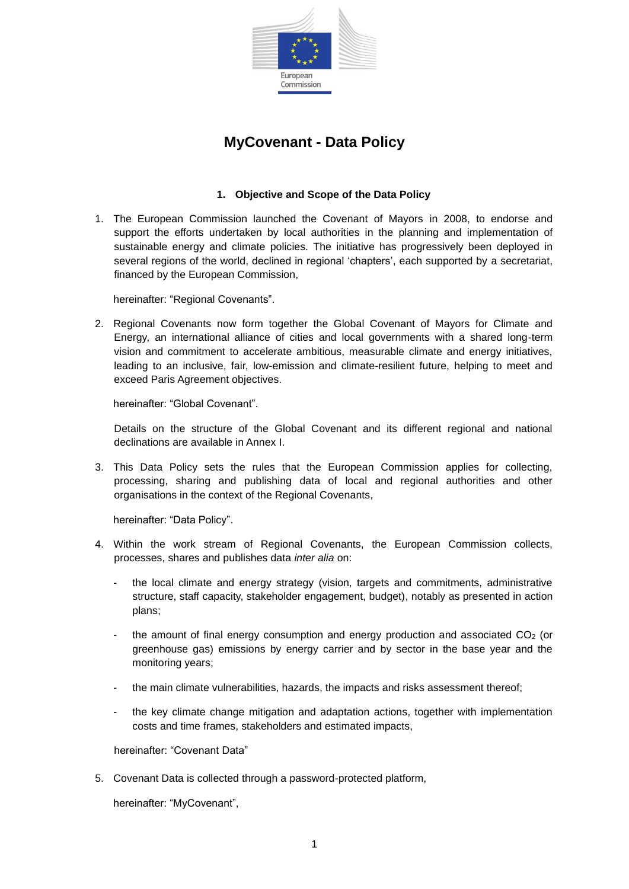

# **MyCovenant - Data Policy**

## **1. Objective and Scope of the Data Policy**

1. The European Commission launched the Covenant of Mayors in 2008, to endorse and support the efforts undertaken by local authorities in the planning and implementation of sustainable energy and climate policies. The initiative has progressively been deployed in several regions of the world, declined in regional 'chapters', each supported by a secretariat, financed by the European Commission,

hereinafter: "Regional Covenants".

2. Regional Covenants now form together the Global Covenant of Mayors for Climate and Energy, an international alliance of cities and local governments with a shared long-term vision and commitment to accelerate ambitious, measurable climate and energy initiatives, leading to an inclusive, fair, low-emission and climate-resilient future, helping to meet and exceed Paris Agreement objectives.

hereinafter: "Global Covenant".

Details on the structure of the Global Covenant and its different regional and national declinations are available in Annex I.

3. This Data Policy sets the rules that the European Commission applies for collecting, processing, sharing and publishing data of local and regional authorities and other organisations in the context of the Regional Covenants,

hereinafter: "Data Policy".

- 4. Within the work stream of Regional Covenants, the European Commission collects, processes, shares and publishes data *inter alia* on:
	- the local climate and energy strategy (vision, targets and commitments, administrative structure, staff capacity, stakeholder engagement, budget), notably as presented in action plans;
	- the amount of final energy consumption and energy production and associated CO<sub>2</sub> (or greenhouse gas) emissions by energy carrier and by sector in the base year and the monitoring years;
	- the main climate vulnerabilities, hazards, the impacts and risks assessment thereof;
	- the key climate change mitigation and adaptation actions, together with implementation costs and time frames, stakeholders and estimated impacts,

hereinafter: "Covenant Data"

5. Covenant Data is collected through a password-protected platform,

hereinafter: "MyCovenant",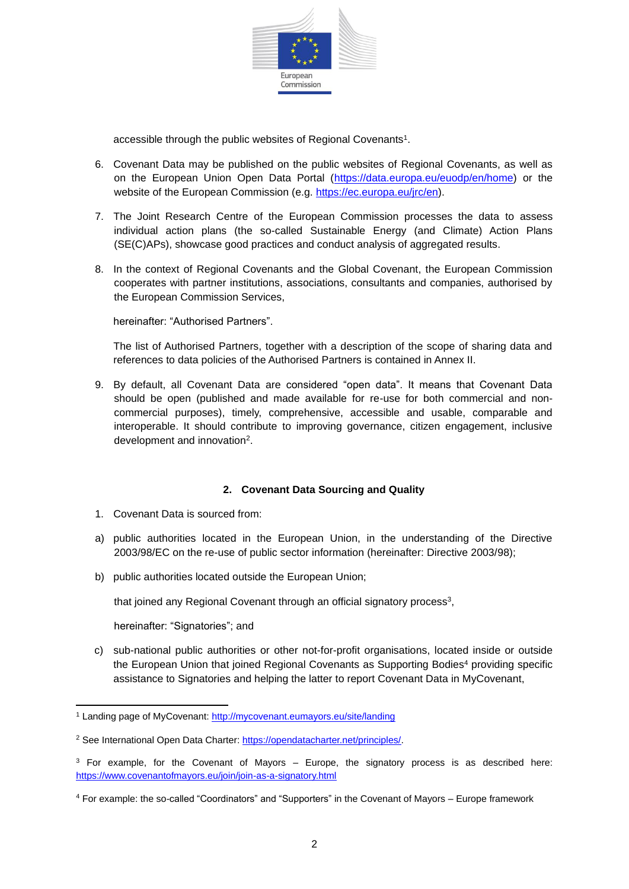

accessible through the public websites of Regional Covenants<sup>1</sup>.

- 6. Covenant Data may be published on the public websites of Regional Covenants, as well as on the European Union Open Data Portal [\(https://data.europa.eu/euodp/en/home\)](https://data.europa.eu/euodp/en/home) or the website of the European Commission (e.g. [https://ec.europa.eu/jrc/en\)](https://ec.europa.eu/jrc/en).
- 7. The Joint Research Centre of the European Commission processes the data to assess individual action plans (the so-called Sustainable Energy (and Climate) Action Plans (SE(C)APs), showcase good practices and conduct analysis of aggregated results.
- 8. In the context of Regional Covenants and the Global Covenant, the European Commission cooperates with partner institutions, associations, consultants and companies, authorised by the European Commission Services,

hereinafter: "Authorised Partners".

The list of Authorised Partners, together with a description of the scope of sharing data and references to data policies of the Authorised Partners is contained in Annex II.

9. By default, all Covenant Data are considered "open data". It means that Covenant Data should be open (published and made available for re-use for both commercial and noncommercial purposes), timely, comprehensive, accessible and usable, comparable and interoperable. It should contribute to improving governance, citizen engagement, inclusive development and innovation<sup>2</sup>.

# **2. Covenant Data Sourcing and Quality**

- 1. Covenant Data is sourced from:
- a) public authorities located in the European Union, in the understanding of the Directive 2003/98/EC on the re-use of public sector information (hereinafter: Directive 2003/98);
- b) public authorities located outside the European Union;

that joined any Regional Covenant through an official signatory process<sup>3</sup>,

hereinafter: "Signatories"; and

c) sub-national public authorities or other not-for-profit organisations, located inside or outside the European Union that joined Regional Covenants as Supporting Bodies<sup>4</sup> providing specific assistance to Signatories and helping the latter to report Covenant Data in MyCovenant,

<sup>1</sup> Landing page of MyCovenant:<http://mycovenant.eumayors.eu/site/landing>

<sup>2</sup> See International Open Data Charter: [https://opendatacharter.net/principles/.](https://opendatacharter.net/principles/)

 $3$  For example, for the Covenant of Mayors – Europe, the signatory process is as described here: <https://www.covenantofmayors.eu/join/join-as-a-signatory.html>

<sup>4</sup> For example: the so-called "Coordinators" and "Supporters" in the Covenant of Mayors – Europe framework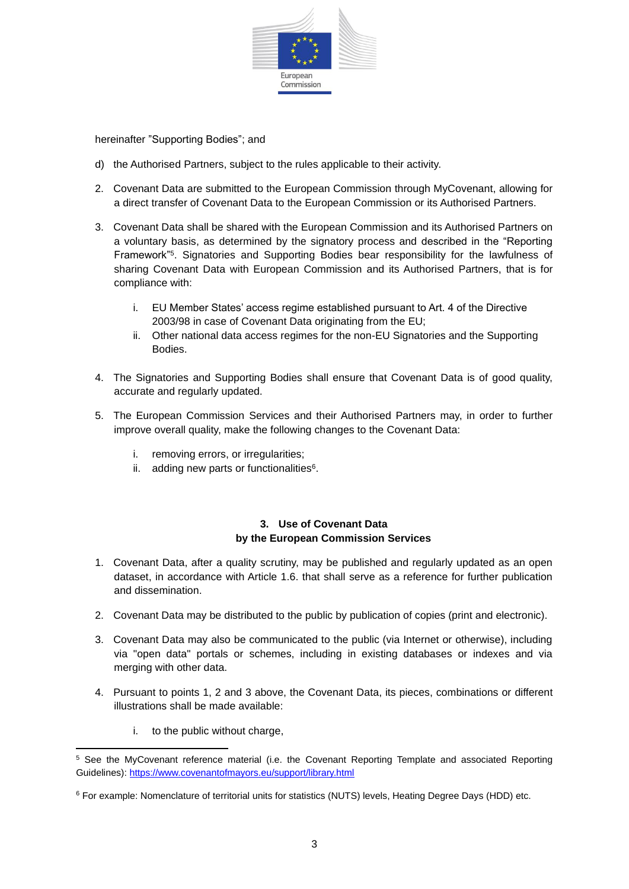

hereinafter "Supporting Bodies"; and

- d) the Authorised Partners, subject to the rules applicable to their activity.
- 2. Covenant Data are submitted to the European Commission through MyCovenant, allowing for a direct transfer of Covenant Data to the European Commission or its Authorised Partners.
- 3. Covenant Data shall be shared with the European Commission and its Authorised Partners on a voluntary basis, as determined by the signatory process and described in the "Reporting Framework"<sup>5</sup> . Signatories and Supporting Bodies bear responsibility for the lawfulness of sharing Covenant Data with European Commission and its Authorised Partners, that is for compliance with:
	- i. EU Member States' access regime established pursuant to Art. 4 of the Directive 2003/98 in case of Covenant Data originating from the EU;
	- ii. Other national data access regimes for the non-EU Signatories and the Supporting Bodies.
- 4. The Signatories and Supporting Bodies shall ensure that Covenant Data is of good quality, accurate and regularly updated.
- 5. The European Commission Services and their Authorised Partners may, in order to further improve overall quality, make the following changes to the Covenant Data:
	- i. removing errors, or irregularities;
	- ii. adding new parts or functionalities<sup>6</sup>.

#### **3. Use of Covenant Data by the European Commission Services**

- 1. Covenant Data, after a quality scrutiny, may be published and regularly updated as an open dataset, in accordance with Article 1.6. that shall serve as a reference for further publication and dissemination.
- 2. Covenant Data may be distributed to the public by publication of copies (print and electronic).
- 3. Covenant Data may also be communicated to the public (via Internet or otherwise), including via "open data" portals or schemes, including in existing databases or indexes and via merging with other data.
- 4. Pursuant to points 1, 2 and 3 above, the Covenant Data, its pieces, combinations or different illustrations shall be made available:
	- i. to the public without charge,

<sup>5</sup> See the MyCovenant reference material (i.e. the Covenant Reporting Template and associated Reporting Guidelines)[: https://www.covenantofmayors.eu/support/library.html](https://www.covenantofmayors.eu/support/library.html)

<sup>6</sup> For example: Nomenclature of territorial units for statistics (NUTS) levels, Heating Degree Days (HDD) etc.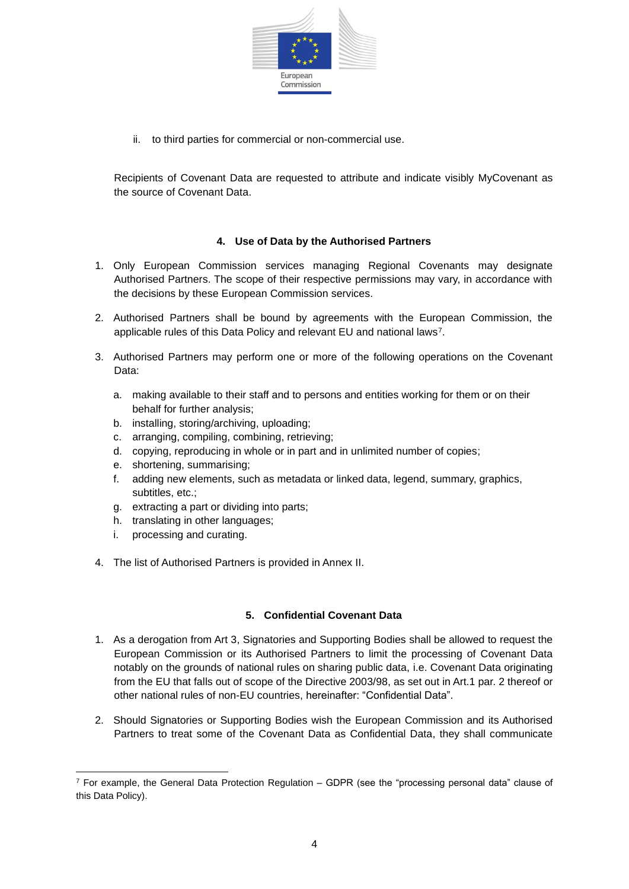

ii. to third parties for commercial or non-commercial use.

Recipients of Covenant Data are requested to attribute and indicate visibly MyCovenant as the source of Covenant Data.

#### **4. Use of Data by the Authorised Partners**

- 1. Only European Commission services managing Regional Covenants may designate Authorised Partners. The scope of their respective permissions may vary, in accordance with the decisions by these European Commission services.
- 2. Authorised Partners shall be bound by agreements with the European Commission, the applicable rules of this Data Policy and relevant EU and national laws<sup>7</sup>.
- 3. Authorised Partners may perform one or more of the following operations on the Covenant Data:
	- a. making available to their staff and to persons and entities working for them or on their behalf for further analysis;
	- b. installing, storing/archiving, uploading;
	- c. arranging, compiling, combining, retrieving;
	- d. copying, reproducing in whole or in part and in unlimited number of copies;
	- e. shortening, summarising;
	- f. adding new elements, such as metadata or linked data, legend, summary, graphics, subtitles, etc.;
	- g. extracting a part or dividing into parts;
	- h. translating in other languages;
	- i. processing and curating.
- 4. The list of Authorised Partners is provided in Annex II.

# **5. Confidential Covenant Data**

- 1. As a derogation from Art 3, Signatories and Supporting Bodies shall be allowed to request the European Commission or its Authorised Partners to limit the processing of Covenant Data notably on the grounds of national rules on sharing public data, i.e. Covenant Data originating from the EU that falls out of scope of the Directive 2003/98, as set out in Art.1 par. 2 thereof or other national rules of non-EU countries, hereinafter: "Confidential Data".
- 2. Should Signatories or Supporting Bodies wish the European Commission and its Authorised Partners to treat some of the Covenant Data as Confidential Data, they shall communicate

 $7$  For example, the General Data Protection Regulation – GDPR (see the "processing personal data" clause of this Data Policy).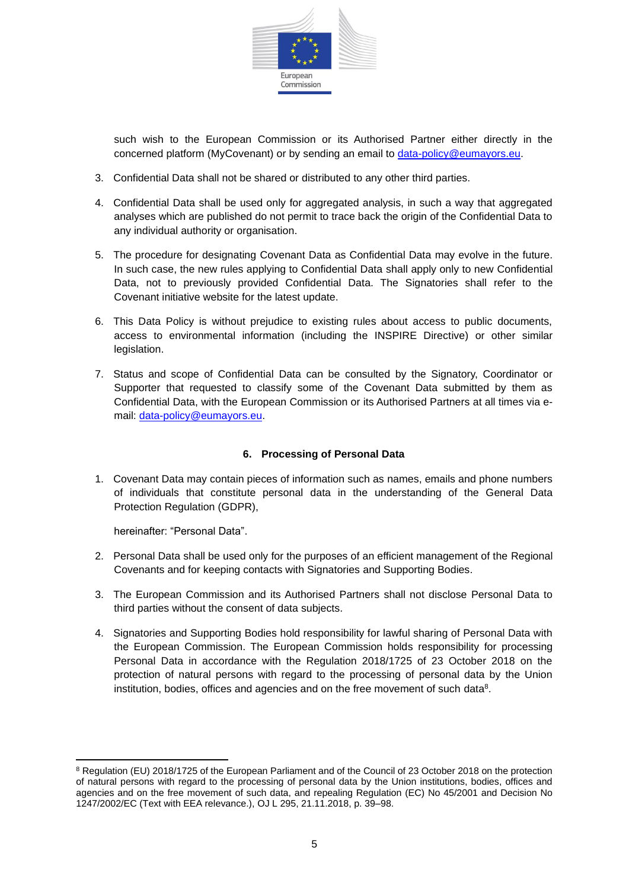

such wish to the European Commission or its Authorised Partner either directly in the concerned platform (MyCovenant) or by sending an email to [data-policy@eumayors.eu.](mailto:data-policy@eumayors.eu)

- 3. Confidential Data shall not be shared or distributed to any other third parties.
- 4. Confidential Data shall be used only for aggregated analysis, in such a way that aggregated analyses which are published do not permit to trace back the origin of the Confidential Data to any individual authority or organisation.
- 5. The procedure for designating Covenant Data as Confidential Data may evolve in the future. In such case, the new rules applying to Confidential Data shall apply only to new Confidential Data, not to previously provided Confidential Data. The Signatories shall refer to the Covenant initiative website for the latest update.
- 6. This Data Policy is without prejudice to existing rules about access to public documents, access to environmental information (including the INSPIRE Directive) or other similar legislation.
- 7. Status and scope of Confidential Data can be consulted by the Signatory, Coordinator or Supporter that requested to classify some of the Covenant Data submitted by them as Confidential Data, with the European Commission or its Authorised Partners at all times via email: [data-policy@eumayors.eu.](mailto:data-policy@eumayors.eu)

# **6. Processing of Personal Data**

1. Covenant Data may contain pieces of information such as names, emails and phone numbers of individuals that constitute personal data in the understanding of the General Data Protection Regulation (GDPR),

hereinafter: "Personal Data".

- 2. Personal Data shall be used only for the purposes of an efficient management of the Regional Covenants and for keeping contacts with Signatories and Supporting Bodies.
- 3. The European Commission and its Authorised Partners shall not disclose Personal Data to third parties without the consent of data subjects.
- 4. Signatories and Supporting Bodies hold responsibility for lawful sharing of Personal Data with the European Commission. The European Commission holds responsibility for processing Personal Data in accordance with the Regulation 2018/1725 of 23 October 2018 on the protection of natural persons with regard to the processing of personal data by the Union institution, bodies, offices and agencies and on the free movement of such data<sup>8</sup>.

<sup>&</sup>lt;sup>8</sup> Regulation (EU) 2018/1725 of the European Parliament and of the Council of 23 October 2018 on the protection of natural persons with regard to the processing of personal data by the Union institutions, bodies, offices and agencies and on the free movement of such data, and repealing Regulation (EC) No 45/2001 and Decision No 1247/2002/EC (Text with EEA relevance.), OJ L 295, 21.11.2018, p. 39–98.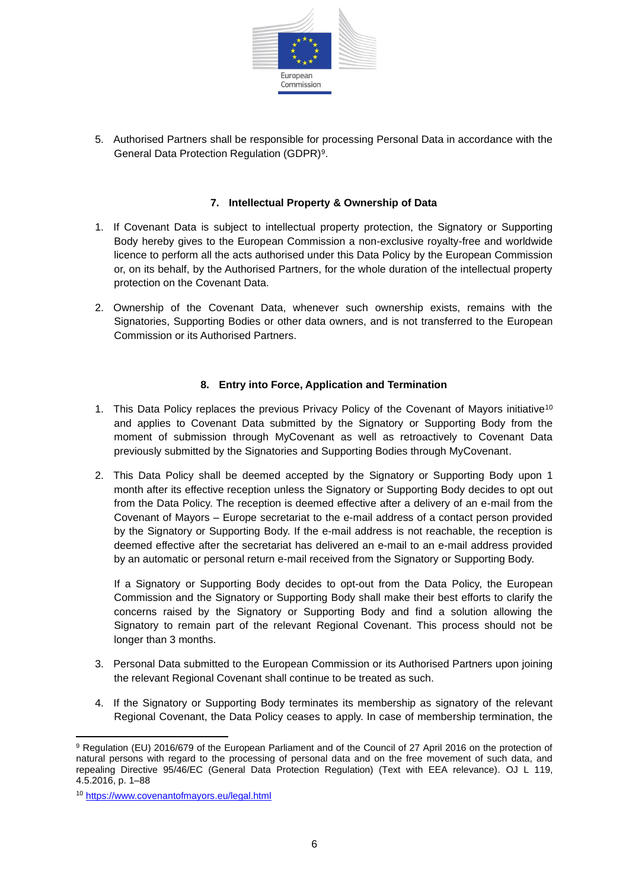

5. Authorised Partners shall be responsible for processing Personal Data in accordance with the General Data Protection Regulation (GDPR)<sup>9</sup>.

#### **7. Intellectual Property & Ownership of Data**

- 1. If Covenant Data is subject to intellectual property protection, the Signatory or Supporting Body hereby gives to the European Commission a non-exclusive royalty-free and worldwide licence to perform all the acts authorised under this Data Policy by the European Commission or, on its behalf, by the Authorised Partners, for the whole duration of the intellectual property protection on the Covenant Data.
- 2. Ownership of the Covenant Data, whenever such ownership exists, remains with the Signatories, Supporting Bodies or other data owners, and is not transferred to the European Commission or its Authorised Partners.

# **8. Entry into Force, Application and Termination**

- 1. This Data Policy replaces the previous Privacy Policy of the Covenant of Mayors initiative<sup>10</sup> and applies to Covenant Data submitted by the Signatory or Supporting Body from the moment of submission through MyCovenant as well as retroactively to Covenant Data previously submitted by the Signatories and Supporting Bodies through MyCovenant.
- 2. This Data Policy shall be deemed accepted by the Signatory or Supporting Body upon 1 month after its effective reception unless the Signatory or Supporting Body decides to opt out from the Data Policy. The reception is deemed effective after a delivery of an e-mail from the Covenant of Mayors – Europe secretariat to the e-mail address of a contact person provided by the Signatory or Supporting Body. If the e-mail address is not reachable, the reception is deemed effective after the secretariat has delivered an e-mail to an e-mail address provided by an automatic or personal return e-mail received from the Signatory or Supporting Body.

If a Signatory or Supporting Body decides to opt-out from the Data Policy, the European Commission and the Signatory or Supporting Body shall make their best efforts to clarify the concerns raised by the Signatory or Supporting Body and find a solution allowing the Signatory to remain part of the relevant Regional Covenant. This process should not be longer than 3 months.

- 3. Personal Data submitted to the European Commission or its Authorised Partners upon joining the relevant Regional Covenant shall continue to be treated as such.
- 4. If the Signatory or Supporting Body terminates its membership as signatory of the relevant Regional Covenant, the Data Policy ceases to apply. In case of membership termination, the

<sup>9</sup> Regulation (EU) 2016/679 of the European Parliament and of the Council of 27 April 2016 on the protection of natural persons with regard to the processing of personal data and on the free movement of such data, and repealing Directive 95/46/EC (General Data Protection Regulation) (Text with EEA relevance). OJ L 119, 4.5.2016, p. 1–88

<sup>10</sup> <https://www.covenantofmayors.eu/legal.html>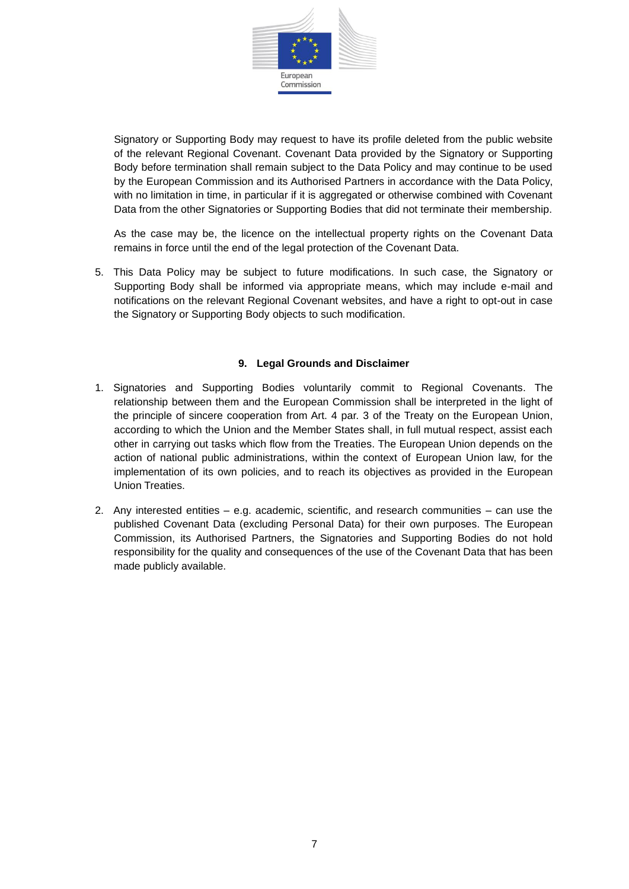

Signatory or Supporting Body may request to have its profile deleted from the public website of the relevant Regional Covenant. Covenant Data provided by the Signatory or Supporting Body before termination shall remain subject to the Data Policy and may continue to be used by the European Commission and its Authorised Partners in accordance with the Data Policy, with no limitation in time, in particular if it is aggregated or otherwise combined with Covenant Data from the other Signatories or Supporting Bodies that did not terminate their membership.

As the case may be, the licence on the intellectual property rights on the Covenant Data remains in force until the end of the legal protection of the Covenant Data.

5. This Data Policy may be subject to future modifications. In such case, the Signatory or Supporting Body shall be informed via appropriate means, which may include e-mail and notifications on the relevant Regional Covenant websites, and have a right to opt-out in case the Signatory or Supporting Body objects to such modification.

#### **9. Legal Grounds and Disclaimer**

- 1. Signatories and Supporting Bodies voluntarily commit to Regional Covenants. The relationship between them and the European Commission shall be interpreted in the light of the principle of sincere cooperation from Art. 4 par. 3 of the Treaty on the European Union, according to which the Union and the Member States shall, in full mutual respect, assist each other in carrying out tasks which flow from the Treaties. The European Union depends on the action of national public administrations, within the context of European Union law, for the implementation of its own policies, and to reach its objectives as provided in the European Union Treaties.
- 2. Any interested entities e.g. academic, scientific, and research communities can use the published Covenant Data (excluding Personal Data) for their own purposes. The European Commission, its Authorised Partners, the Signatories and Supporting Bodies do not hold responsibility for the quality and consequences of the use of the Covenant Data that has been made publicly available.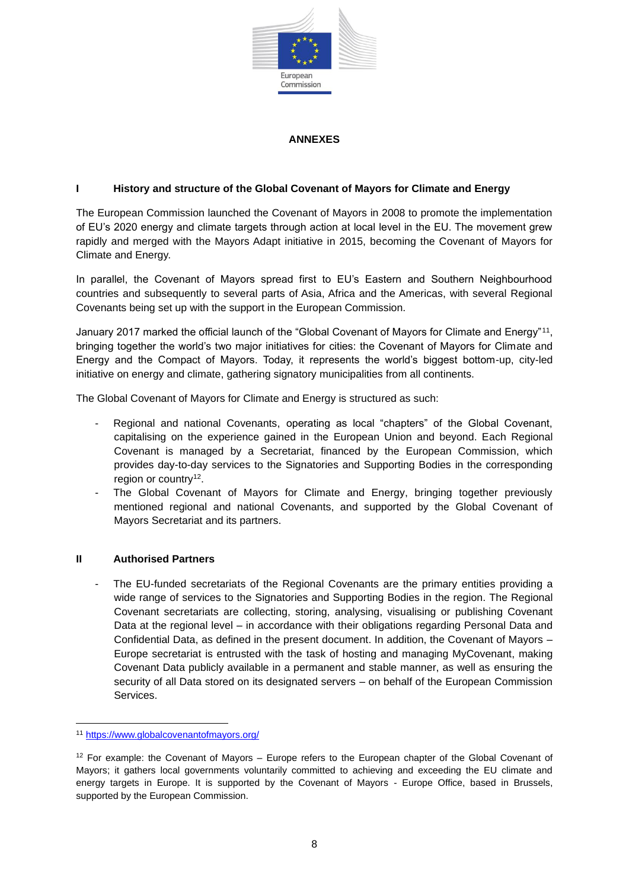

#### **ANNEXES**

## **I History and structure of the Global Covenant of Mayors for Climate and Energy**

The European Commission launched the Covenant of Mayors in 2008 to promote the implementation of EU's 2020 energy and climate targets through action at local level in the EU. The movement grew rapidly and merged with the Mayors Adapt initiative in 2015, becoming the Covenant of Mayors for Climate and Energy.

In parallel, the Covenant of Mayors spread first to EU's Eastern and Southern Neighbourhood countries and subsequently to several parts of Asia, Africa and the Americas, with several Regional Covenants being set up with the support in the European Commission.

January 2017 marked the official launch of the "Global Covenant of Mayors for Climate and Energy"<sup>11</sup> , bringing together the world's two major initiatives for cities: the Covenant of Mayors for Climate and Energy and the Compact of Mayors. Today, it represents the world's biggest bottom-up, city-led initiative on energy and climate, gathering signatory municipalities from all continents.

The Global Covenant of Mayors for Climate and Energy is structured as such:

- Regional and national Covenants, operating as local "chapters" of the Global Covenant, capitalising on the experience gained in the European Union and beyond. Each Regional Covenant is managed by a Secretariat, financed by the European Commission, which provides day-to-day services to the Signatories and Supporting Bodies in the corresponding region or country<sup>12</sup>.
- The Global Covenant of Mayors for Climate and Energy, bringing together previously mentioned regional and national Covenants, and supported by the Global Covenant of Mayors Secretariat and its partners.

#### **II Authorised Partners**

The EU-funded secretariats of the Regional Covenants are the primary entities providing a wide range of services to the Signatories and Supporting Bodies in the region. The Regional Covenant secretariats are collecting, storing, analysing, visualising or publishing Covenant Data at the regional level – in accordance with their obligations regarding Personal Data and Confidential Data, as defined in the present document. In addition, the Covenant of Mayors – Europe secretariat is entrusted with the task of hosting and managing MyCovenant, making Covenant Data publicly available in a permanent and stable manner, as well as ensuring the security of all Data stored on its designated servers – on behalf of the European Commission Services.

<sup>11</sup> <https://www.globalcovenantofmayors.org/>

 $12$  For example: the Covenant of Mayors – Europe refers to the European chapter of the Global Covenant of Mayors; it gathers local governments voluntarily committed to achieving and exceeding the EU climate and energy targets in Europe. It is supported by the Covenant of Mayors - Europe Office, based in Brussels, supported by the European Commission.